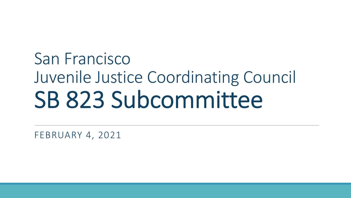## San Francisco Juvenile Justice Coordinating Council SB 823 Subcommittee

FEBRUARY 4, 2021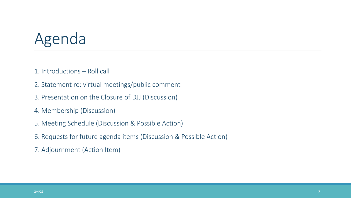## Agenda

- 1. Introductions Roll call
- 2. Statement re: virtual meetings/public comment
- 3. Presentation on the Closure of DJJ (Discussion)
- 4. Membership (Discussion)
- 5. Meeting Schedule (Discussion & Possible Action)
- 6. Requests for future agenda items (Discussion & Possible Action)
- 7. Adjournment (Action Item)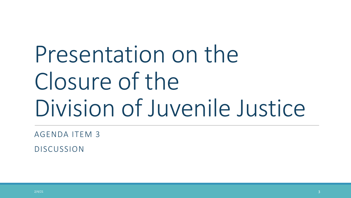Presentation on the Closure of the Division of Juvenile Justice

AGENDA ITEM 3

DISCUSSION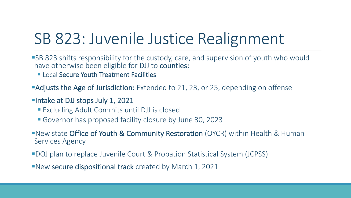## SB 823: Juvenile Justice Realignment

- ■SB 823 shifts responsibility for the custody, care, and supervision of youth who would have otherwise been eligible for DJJ to counties:
	- Local Secure Youth Treatment Facilities

**•Adjusts the Age of Jurisdiction:** Extended to 21, 23, or 25, depending on offense

- **•Intake at DJJ stops July 1, 2021** 
	- Excluding Adult Commits until DJJ is closed
	- § Governor has proposed facility closure by June 30, 2023

**•New state Office of Youth & Community Restoration** (OYCR) within Health & Human Services Agency

- §DOJ plan to replace Juvenile Court & Probation Statistical System (JCPSS)
- **•New secure dispositional track** created by March 1, 2021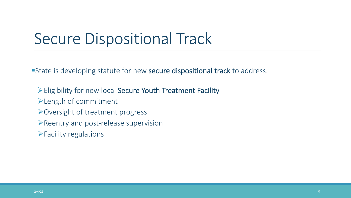### Secure Dispositional Track

State is developing statute for new secure dispositional track to address:

- ØEligibility for new local Secure Youth Treatment Facility
- $\blacktriangleright$  Length of commitment
- $\triangleright$  Oversight of treatment progress
- $\triangleright$  Reentry and post-release supervision
- $\blacktriangleright$  Facility regulations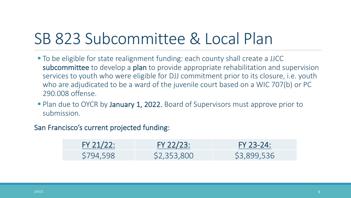### SB 823 Subcommittee & Local Plan

- § To be eligible for state realignment funding: each county shall create a JJCC subcommittee to develop a plan to provide appropriate rehabilitation and supervision services to youth who were eligible for DJJ commitment prior to its closure, i.e. youth who are adjudicated to be a ward of the juvenile court based on a WIC 707(b) or PC 290.008 offense.
- Plan due to OYCR by January 1, 2022. Board of Supervisors must approve prior to submission.

#### San Francisco's current projected funding:

| FY 21/22: | FY 22/23:   | FY 23-24:   |
|-----------|-------------|-------------|
| \$794,598 | \$2,353,800 | \$3,899,536 |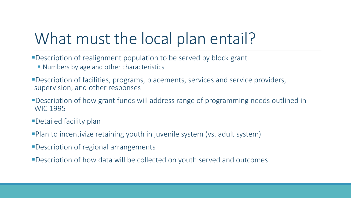## What must the local plan entail?

- ■Description of realignment population to be served by block grant
	- Numbers by age and other characteristics
- **•Description of facilities, programs, placements, services and service providers,** supervision, and other responses
- ■Description of how grant funds will address range of programming needs outlined in WIC 1995
- **•Detailed facility plan**
- **•Plan to incentivize retaining youth in juvenile system (vs. adult system)**
- ■Description of regional arrangements
- §Description of how data will be collected on youth served and outcomes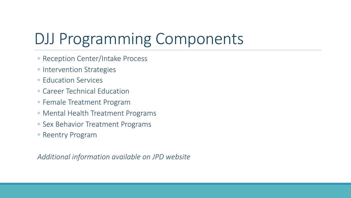## DJJ Programming Components

- Reception Center/Intake Process
- Intervention Strategies
- Education Services
- Career Technical Education
- Female Treatment Program
- Mental Health Treatment Programs
- Sex Behavior Treatment Programs
- Reentry Program

*Additional information available on JPD website*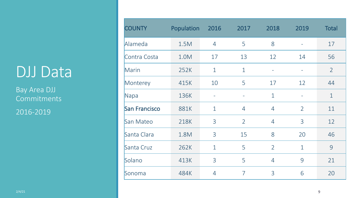### DJJ Data

Bay Area DJJ Commitments

2016-2019

| <b>COUNTY</b>        | Population | 2016                     | 2017                     | 2018                     | 2019                     | <b>Total</b>   |
|----------------------|------------|--------------------------|--------------------------|--------------------------|--------------------------|----------------|
| Alameda              | 1.5M       | $\overline{4}$           | 5                        | 8                        | $\overline{\phantom{m}}$ | 17             |
| Contra Costa         | 1.0M       | 17                       | 13                       | 12                       | 14                       | 56             |
| Marin                | 252K       | $\mathbf{1}$             | $\mathbf 1$              | $\overline{\phantom{m}}$ | $\overline{\phantom{a}}$ | $\overline{2}$ |
| Monterey             | 415K       | 10                       | 5                        | 17                       | 12                       | 44             |
| Napa                 | 136K       | $\overline{\phantom{a}}$ | $\overline{\phantom{a}}$ | $\mathbf{1}$             | $\qquad \qquad -$        | $\mathbf{1}$   |
| <b>San Francisco</b> | 881K       | $\mathbf{1}$             | $\overline{4}$           | $\overline{4}$           | $\overline{2}$           | 11             |
| San Mateo            | 218K       | 3                        | $\overline{2}$           | $\overline{4}$           | 3                        | 12             |
| Santa Clara          | 1.8M       | 3                        | 15                       | 8                        | 20                       | 46             |
| Santa Cruz           | 262K       | $\mathbf{1}$             | 5                        | $\overline{2}$           | $\mathbf{1}$             | 9              |
| Solano               | 413K       | $\overline{3}$           | 5                        | $\overline{4}$           | 9                        | 21             |
| Sonoma               | 484K       | $\overline{4}$           | $\overline{7}$           | 3                        | 6                        | 20             |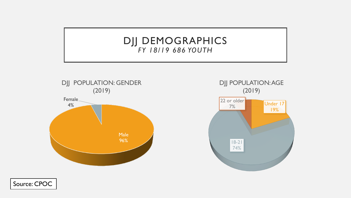### DJJ DEMOGRAPHICS *FY 18/19 686 YOUTH*





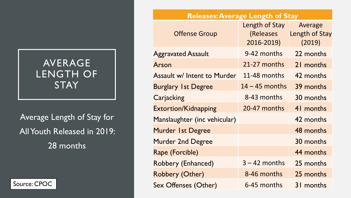### AVERAGE LENGTH OF **STAY**



|                                            |  | <b>Releases: Average Length of Stay</b> |                                           |                                     |
|--------------------------------------------|--|-----------------------------------------|-------------------------------------------|-------------------------------------|
|                                            |  | <b>Offense Group</b>                    | Length of Stay<br>(Releases<br>2016-2019) | Average<br>Length of Stay<br>(2019) |
| AVERAGE<br><b>LENGTH OF</b><br><b>STAY</b> |  | <b>Aggravated Assault</b>               | 9-42 months                               | 22 months                           |
|                                            |  | Arson                                   | 21-27 months                              | 21 months                           |
|                                            |  | <b>Assault w/ Intent to Murder</b>      | 11-48 months                              | 42 months                           |
|                                            |  | <b>Burglary 1st Degree</b>              | $14 - 45$ months                          | 39 months                           |
|                                            |  | Carjacking                              | 8-43 months                               | 30 months                           |
|                                            |  | <b>Extortion/Kidnapping</b>             | 20-47 months                              | 41 months                           |
| Average Length of Stay for                 |  | Manslaughter (inc vehicular)            |                                           | 42 months                           |
| All Youth Released in 2019:                |  | Murder 1st Degree                       |                                           | 48 months                           |
| 28 months                                  |  | <b>Murder 2nd Degree</b>                |                                           | 30 months                           |
|                                            |  | Rape (Forcible)                         |                                           | 44 months                           |
|                                            |  | Robbery (Enhanced)                      | $3 - 42$ months                           | 25 months                           |
|                                            |  | Robbery (Other)                         | 8-46 months                               | 25 months                           |
| Source: CPOC                               |  | <b>Sex Offenses (Other)</b>             | 6-45 months                               | 31 months                           |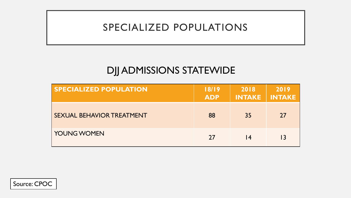### SPECIALIZED POPULATIONS

### DJJ ADMISSIONS STATEWIDE

| <b>SPECIALIZED POPULATION</b>    | 18/19<br><b>ADP</b> | 2018<br><b>INTAKE</b> | 2019<br><b>INTAKE</b> |
|----------------------------------|---------------------|-----------------------|-----------------------|
| <b>SEXUAL BEHAVIOR TREATMENT</b> | 88                  | 35                    | 27                    |
| <b>YOUNG WOMEN</b>               | 27                  | l 4                   | $\overline{13}$       |

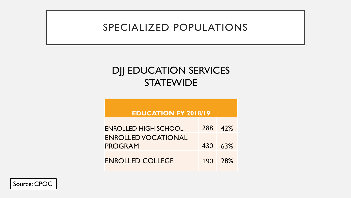### SPECIALIZED POPULATIONS

### DJJ EDUCATION SERVICES **STATEWIDE**

#### **EDUCATION FY 2018/19**

| <b>ENROLLED HIGH SCHOOL</b> | 288 42%      |
|-----------------------------|--------------|
| <b>ENROLLED VOCATIONAL</b>  |              |
| <b>PROGRAM</b>              | 430 63%      |
| ENROLLED COLLEGE            | $190 - 28\%$ |



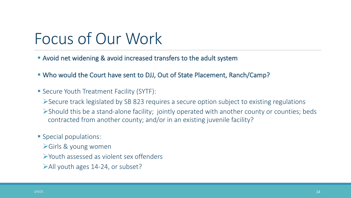## Focus of Our Work

- Avoid net widening & avoid increased transfers to the adult system
- § Who would the Court have sent to DJJ, Out of State Placement, Ranch/Camp?
- Secure Youth Treatment Facility (SYTF):
	- ØSecure track legislated by SB 823 requires a secure option subject to existing regulations
	- $\triangleright$ Should this be a stand-alone facility; jointly operated with another county or counties; beds contracted from another county; and/or in an existing juvenile facility?
- § Special populations:
	- $\triangleright$  Girls & young women
	- ØYouth assessed as violent sex offenders
	- $\blacktriangleright$  All youth ages 14-24, or subset?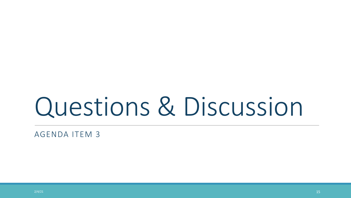# Questions & Discussion

AGENDA ITEM 3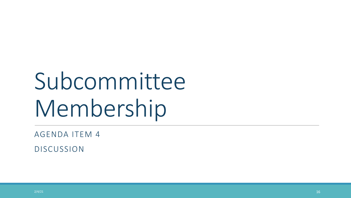# Subcommittee Membership

AGENDA ITEM 4

DISCUSSION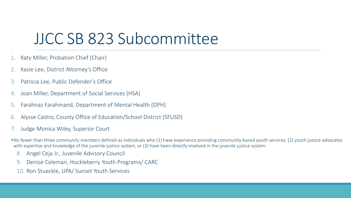### JJCC SB 823 Subcommittee

- 1. Katy Miller, Probation Chief (Chair)
- 2. Kasie Lee, District Attorney's Office
- 3. Patricia Lee, Public Defender's Office
- 4. Joan Miller, Department of Social Services (HSA)
- 5. Farahnaz Farahmand, Department of Mental Health (DPH)
- 6. Alysse Castro, County Office of Education/School District (SFUSD)
- 7. Judge Monica Wiley, Superior Court
- ■No fewer than three community members defined as individuals who (1) have experience providing community-based youth services, (2) youth justice advocates with expertise and knowledge of the juvenile justice system, or (3) have been directly involved in the juvenile justice system:
	- 8. Angel Ceja Jr., Juvenile Advisory Council
	- 9. Denise Coleman, Huckleberry Youth Programs/ CARC
	- 10. Ron Stueckle, JJPA/ Sunset Youth Services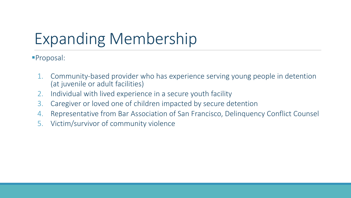## Expanding Membership

§Proposal:

- 1. Community-based provider who has experience serving young people in detention (at juvenile or adult facilities)
- 2. Individual with lived experience in a secure youth facility
- 3. Caregiver or loved one of children impacted by secure detention
- 4. Representative from Bar Association of San Francisco, Delinquency Conflict Counsel
- 5. Victim/survivor of community violence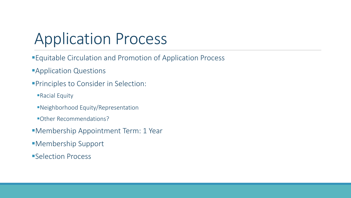## Application Process

- **Equitable Circulation and Promotion of Application Process**
- **Application Questions**
- **Principles to Consider in Selection:** 
	- ■Racial Equity
	- ■Neighborhood Equity/Representation
	- §Other Recommendations?
- ■Membership Appointment Term: 1 Year
- §Membership Support
- ■Selection Process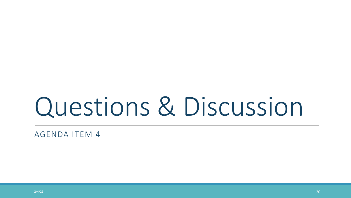# Questions & Discussion

AGENDA ITEM 4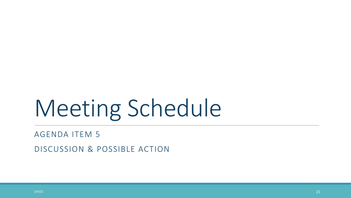# Meeting Schedule

#### AGENDA ITEM 5

DISCUSSION & POSSIBLE ACTION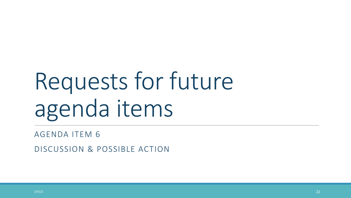# Requests for future agenda items

AGENDA ITEM 6

DISCUSSION & POSSIBLE ACTION